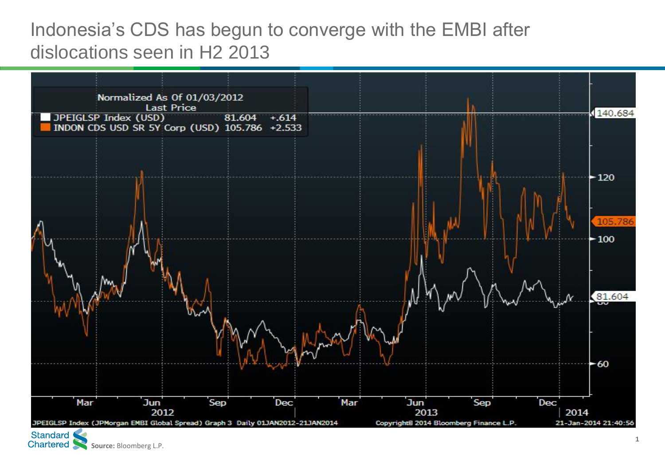## Indonesia's CDS has begun to converge with the EMBI after dislocations seen in H2 2013



**Chartered Source: Bloomberg L.P.**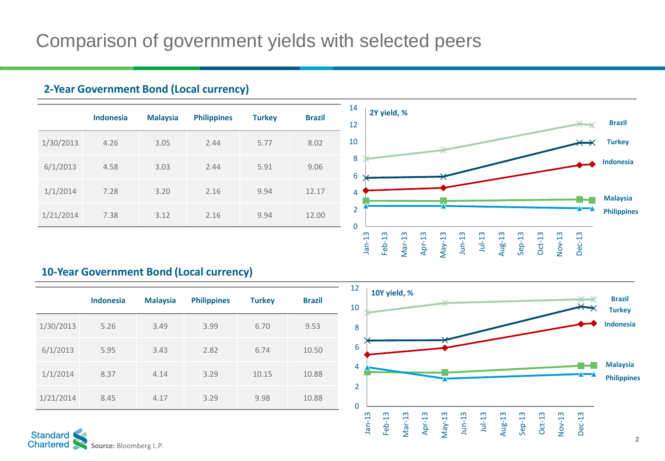## **2-Year Government Bond (Local currency)**

|           | <b>Indonesia</b> | <b>Malaysia</b> | <b>Philippines</b> | <b>Turkey</b> | <b>Brazil</b> |  |
|-----------|------------------|-----------------|--------------------|---------------|---------------|--|
| 1/30/2013 | 4.26             | 3.05            | 2.44               | 5.77          | 8.02          |  |
| 6/1/2013  | 4.58             | 3.03            | 2.44               | 5.91          | 9.06          |  |
| 1/1/2014  | 7.28             | 3.20            | 2.16               | 9.94          | 12.17         |  |
| 1/21/2014 | 7.38             | 3.12            | 2.16               | 9.94          | 12.00         |  |



## **10-Year Government Bond (Local currency)**

|           | <b>Indonesia</b> | <b>Malaysia</b> | <b>Philippines</b> | <b>Turkey</b> | <b>Brazil</b> |  |
|-----------|------------------|-----------------|--------------------|---------------|---------------|--|
| 1/30/2013 | 5.26             | 3.49            | 3.99               | 6.70          | 9.53          |  |
| 6/1/2013  | 5.95             | 3.43            | 2.82               | 6.74          | 10.50         |  |
| 1/1/2014  | 8.37             | 4.14            | 3.29               | 10.15         | 10.88         |  |
| 1/21/2014 | 8.45             | 4.17            | 3.29               | 9.98          | 10.88         |  |